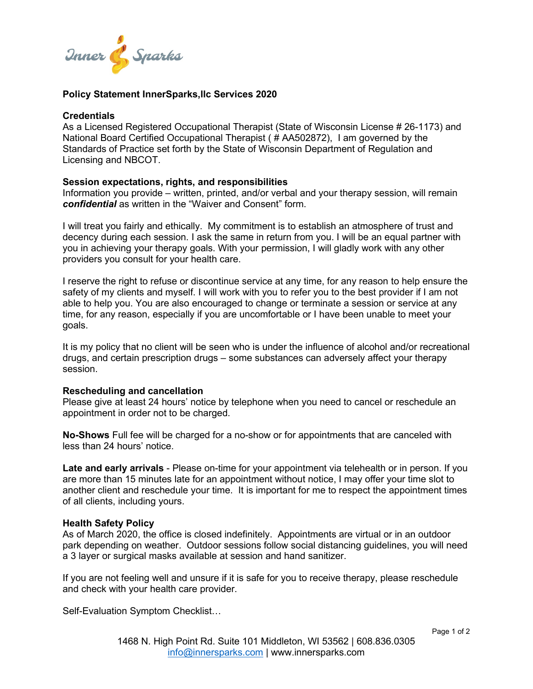

## **Policy Statement InnerSparks,llc Services 2020**

#### **Credentials**

As a Licensed Registered Occupational Therapist (State of Wisconsin License # 26-1173) and National Board Certified Occupational Therapist ( # AA502872), I am governed by the Standards of Practice set forth by the State of Wisconsin Department of Regulation and Licensing and NBCOT.

### **Session expectations, rights, and responsibilities**

Information you provide – written, printed, and/or verbal and your therapy session, will remain *confidential* as written in the "Waiver and Consent" form.

I will treat you fairly and ethically. My commitment is to establish an atmosphere of trust and decency during each session. I ask the same in return from you. I will be an equal partner with you in achieving your therapy goals. With your permission, I will gladly work with any other providers you consult for your health care.

I reserve the right to refuse or discontinue service at any time, for any reason to help ensure the safety of my clients and myself. I will work with you to refer you to the best provider if I am not able to help you. You are also encouraged to change or terminate a session or service at any time, for any reason, especially if you are uncomfortable or I have been unable to meet your goals.

It is my policy that no client will be seen who is under the influence of alcohol and/or recreational drugs, and certain prescription drugs – some substances can adversely affect your therapy session.

### **Rescheduling and cancellation**

Please give at least 24 hours' notice by telephone when you need to cancel or reschedule an appointment in order not to be charged.

**No-Shows** Full fee will be charged for a no-show or for appointments that are canceled with less than 24 hours' notice.

**Late and early arrivals** - Please on-time for your appointment via telehealth or in person. If you are more than 15 minutes late for an appointment without notice, I may offer your time slot to another client and reschedule your time. It is important for me to respect the appointment times of all clients, including yours.

### **Health Safety Policy**

As of March 2020, the office is closed indefinitely. Appointments are virtual or in an outdoor park depending on weather. Outdoor sessions follow social distancing guidelines, you will need a 3 layer or surgical masks available at session and hand sanitizer.

If you are not feeling well and unsure if it is safe for you to receive therapy, please reschedule and check with your health care provider.

Self-Evaluation Symptom Checklist…